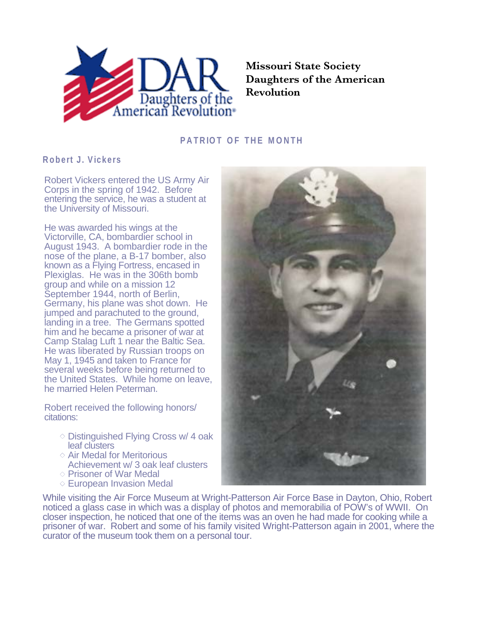

**Missouri State Society Daughters of the American Revolution**

## **PATRIOT OF THE MONTH**

## **Robert J. Vickers**

Robert Vickers entered the US Army Air Corps in the spring of 1942. Before entering the service, he was a student at the University of Missouri.

He was awarded his wings at the Victorville, CA, bombardier school in August 1943. A bombardier rode in the nose of the plane, a B-17 bomber, also known as a Flying Fortress, encased in Plexiglas. He was in the 306th bomb group and while on a mission 12 September 1944, north of Berlin, Germany, his plane was shot down. He jumped and parachuted to the ground, landing in a tree. The Germans spotted him and he became a prisoner of war at Camp Stalag Luft 1 near the Baltic Sea. He was liberated by Russian troops on May 1, 1945 and taken to France for several weeks before being returned to the United States. While home on leave, he married Helen Peterman.

Robert received the following honors/ citations:

- $\diamond$  Distinguished Flying Cross w/ 4 oak leaf clusters
- $\diamond$  Air Medal for Meritorious Achievement w/ 3 oak leaf clusters
- $\diamond$  Prisoner of War Medal
- $\diamond$  European Invasion Medal



While visiting the Air Force Museum at Wright-Patterson Air Force Base in Dayton, Ohio, Robert noticed a glass case in which was a display of photos and memorabilia of POW's of WWII. On closer inspection, he noticed that one of the items was an oven he had made for cooking while a prisoner of war. Robert and some of his family visited Wright-Patterson again in 2001, where the curator of the museum took them on a personal tour.